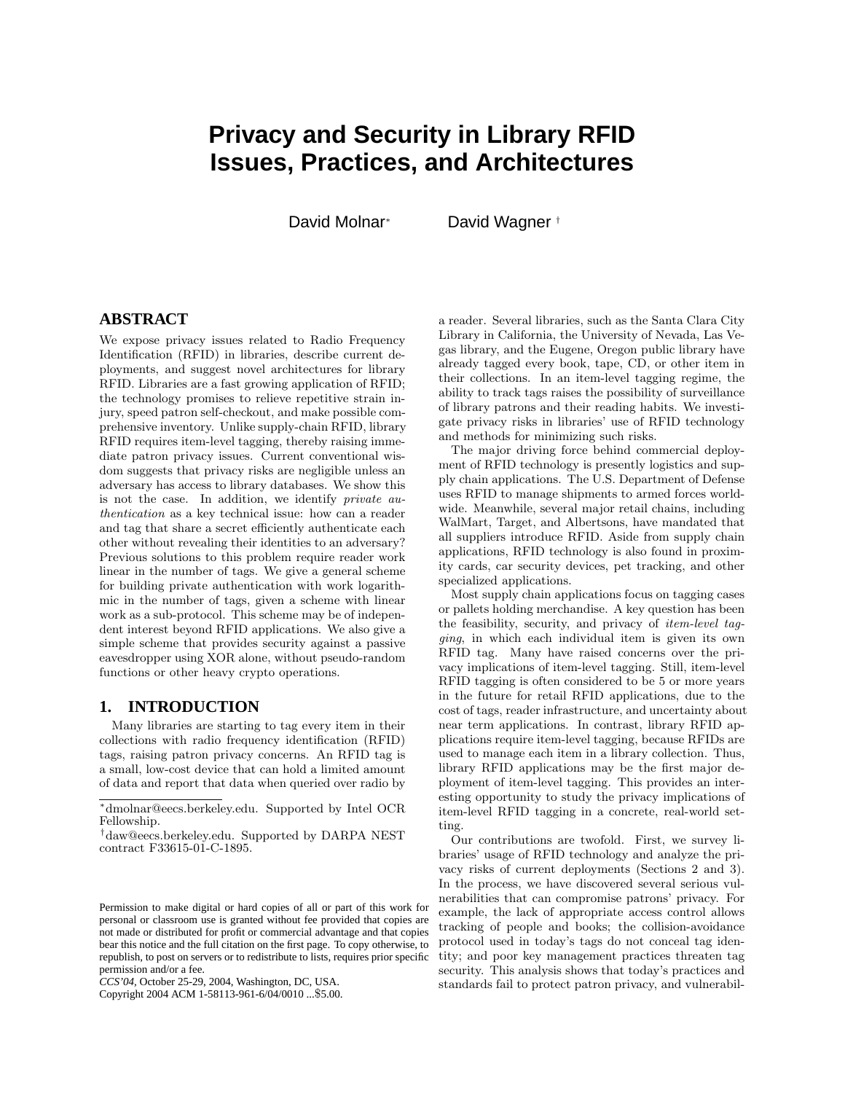# **Privacy and Security in Library RFID Issues, Practices, and Architectures**

David Molnar<sup>∗</sup> David Wagner †

# **ABSTRACT**

We expose privacy issues related to Radio Frequency Identification (RFID) in libraries, describe current deployments, and suggest novel architectures for library RFID. Libraries are a fast growing application of RFID; the technology promises to relieve repetitive strain injury, speed patron self-checkout, and make possible comprehensive inventory. Unlike supply-chain RFID, library RFID requires item-level tagging, thereby raising immediate patron privacy issues. Current conventional wisdom suggests that privacy risks are negligible unless an adversary has access to library databases. We show this is not the case. In addition, we identify private authentication as a key technical issue: how can a reader and tag that share a secret efficiently authenticate each other without revealing their identities to an adversary? Previous solutions to this problem require reader work linear in the number of tags. We give a general scheme for building private authentication with work logarithmic in the number of tags, given a scheme with linear work as a sub-protocol. This scheme may be of independent interest beyond RFID applications. We also give a simple scheme that provides security against a passive eavesdropper using XOR alone, without pseudo-random functions or other heavy crypto operations.

### **1. INTRODUCTION**

Many libraries are starting to tag every item in their collections with radio frequency identification (RFID) tags, raising patron privacy concerns. An RFID tag is a small, low-cost device that can hold a limited amount of data and report that data when queried over radio by

*CCS'04,* October 25-29, 2004, Washington, DC, USA.

Copyright 2004 ACM 1-58113-961-6/04/0010 ...\$5.00.

a reader. Several libraries, such as the Santa Clara City Library in California, the University of Nevada, Las Vegas library, and the Eugene, Oregon public library have already tagged every book, tape, CD, or other item in their collections. In an item-level tagging regime, the ability to track tags raises the possibility of surveillance of library patrons and their reading habits. We investigate privacy risks in libraries' use of RFID technology and methods for minimizing such risks.

The major driving force behind commercial deployment of RFID technology is presently logistics and supply chain applications. The U.S. Department of Defense uses RFID to manage shipments to armed forces worldwide. Meanwhile, several major retail chains, including WalMart, Target, and Albertsons, have mandated that all suppliers introduce RFID. Aside from supply chain applications, RFID technology is also found in proximity cards, car security devices, pet tracking, and other specialized applications.

Most supply chain applications focus on tagging cases or pallets holding merchandise. A key question has been the feasibility, security, and privacy of item-level tagging, in which each individual item is given its own RFID tag. Many have raised concerns over the privacy implications of item-level tagging. Still, item-level RFID tagging is often considered to be 5 or more years in the future for retail RFID applications, due to the cost of tags, reader infrastructure, and uncertainty about near term applications. In contrast, library RFID applications require item-level tagging, because RFIDs are used to manage each item in a library collection. Thus, library RFID applications may be the first major deployment of item-level tagging. This provides an interesting opportunity to study the privacy implications of item-level RFID tagging in a concrete, real-world setting.

Our contributions are twofold. First, we survey libraries' usage of RFID technology and analyze the privacy risks of current deployments (Sections 2 and 3). In the process, we have discovered several serious vulnerabilities that can compromise patrons' privacy. For example, the lack of appropriate access control allows tracking of people and books; the collision-avoidance protocol used in today's tags do not conceal tag identity; and poor key management practices threaten tag security. This analysis shows that today's practices and standards fail to protect patron privacy, and vulnerabil-

<sup>∗</sup>dmolnar@eecs.berkeley.edu. Supported by Intel OCR Fellowship.

<sup>†</sup>daw@eecs.berkeley.edu. Supported by DARPA NEST contract F33615-01-C-1895.

Permission to make digital or hard copies of all or part of this work for personal or classroom use is granted without fee provided that copies are not made or distributed for profit or commercial advantage and that copies bear this notice and the full citation on the first page. To copy otherwise, to republish, to post on servers or to redistribute to lists, requires prior specific permission and/or a fee.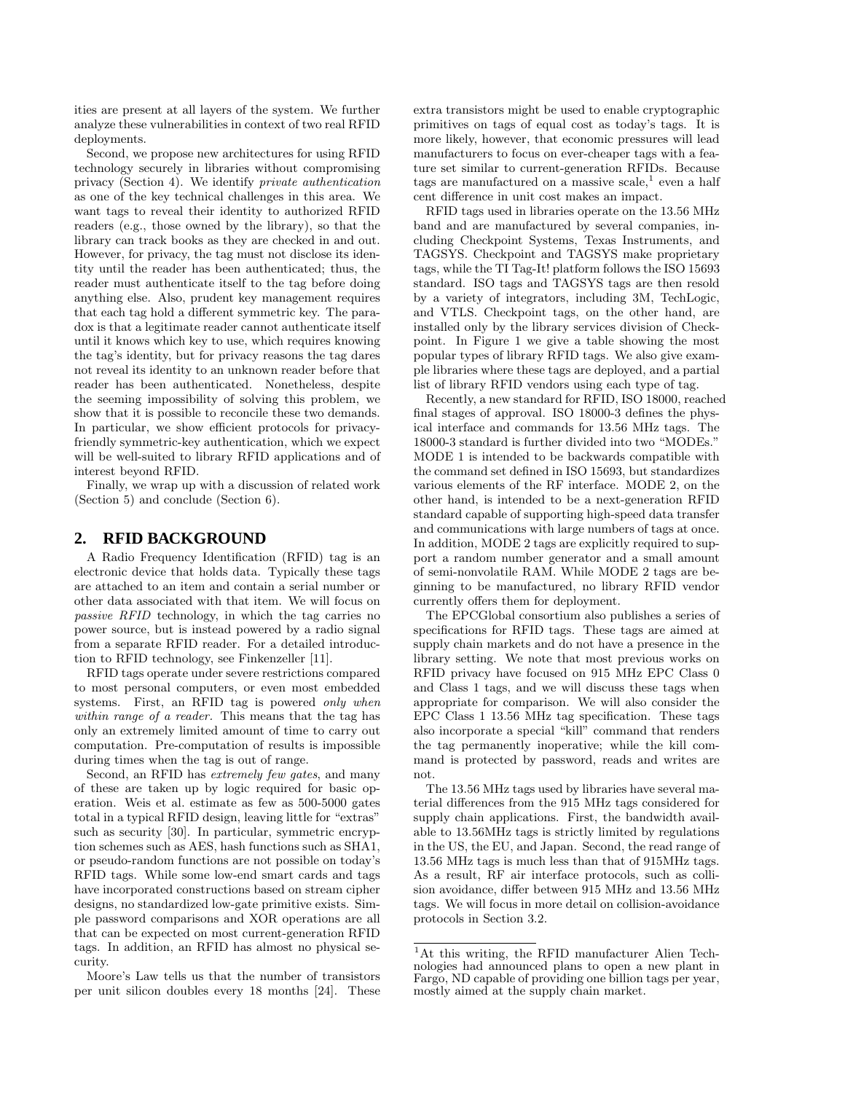ities are present at all layers of the system. We further analyze these vulnerabilities in context of two real RFID deployments.

Second, we propose new architectures for using RFID technology securely in libraries without compromising privacy (Section 4). We identify private authentication as one of the key technical challenges in this area. We want tags to reveal their identity to authorized RFID readers (e.g., those owned by the library), so that the library can track books as they are checked in and out. However, for privacy, the tag must not disclose its identity until the reader has been authenticated; thus, the reader must authenticate itself to the tag before doing anything else. Also, prudent key management requires that each tag hold a different symmetric key. The paradox is that a legitimate reader cannot authenticate itself until it knows which key to use, which requires knowing the tag's identity, but for privacy reasons the tag dares not reveal its identity to an unknown reader before that reader has been authenticated. Nonetheless, despite the seeming impossibility of solving this problem, we show that it is possible to reconcile these two demands. In particular, we show efficient protocols for privacyfriendly symmetric-key authentication, which we expect will be well-suited to library RFID applications and of interest beyond RFID.

Finally, we wrap up with a discussion of related work (Section 5) and conclude (Section 6).

### **2. RFID BACKGROUND**

A Radio Frequency Identification (RFID) tag is an electronic device that holds data. Typically these tags are attached to an item and contain a serial number or other data associated with that item. We will focus on passive RFID technology, in which the tag carries no power source, but is instead powered by a radio signal from a separate RFID reader. For a detailed introduction to RFID technology, see Finkenzeller [11].

RFID tags operate under severe restrictions compared to most personal computers, or even most embedded systems. First, an RFID tag is powered only when within range of a reader. This means that the tag has only an extremely limited amount of time to carry out computation. Pre-computation of results is impossible during times when the tag is out of range.

Second, an RFID has *extremely few gates*, and many of these are taken up by logic required for basic operation. Weis et al. estimate as few as 500-5000 gates total in a typical RFID design, leaving little for "extras" such as security [30]. In particular, symmetric encryption schemes such as AES, hash functions such as SHA1, or pseudo-random functions are not possible on today's RFID tags. While some low-end smart cards and tags have incorporated constructions based on stream cipher designs, no standardized low-gate primitive exists. Simple password comparisons and XOR operations are all that can be expected on most current-generation RFID tags. In addition, an RFID has almost no physical security.

Moore's Law tells us that the number of transistors per unit silicon doubles every 18 months [24]. These

extra transistors might be used to enable cryptographic primitives on tags of equal cost as today's tags. It is more likely, however, that economic pressures will lead manufacturers to focus on ever-cheaper tags with a feature set similar to current-generation RFIDs. Because tags are manufactured on a massive scale, $^{1}$  even a half cent difference in unit cost makes an impact.

RFID tags used in libraries operate on the 13.56 MHz band and are manufactured by several companies, including Checkpoint Systems, Texas Instruments, and TAGSYS. Checkpoint and TAGSYS make proprietary tags, while the TI Tag-It! platform follows the ISO 15693 standard. ISO tags and TAGSYS tags are then resold by a variety of integrators, including 3M, TechLogic, and VTLS. Checkpoint tags, on the other hand, are installed only by the library services division of Checkpoint. In Figure 1 we give a table showing the most popular types of library RFID tags. We also give example libraries where these tags are deployed, and a partial list of library RFID vendors using each type of tag.

Recently, a new standard for RFID, ISO 18000, reached final stages of approval. ISO 18000-3 defines the physical interface and commands for 13.56 MHz tags. The 18000-3 standard is further divided into two "MODEs." MODE 1 is intended to be backwards compatible with the command set defined in ISO 15693, but standardizes various elements of the RF interface. MODE 2, on the other hand, is intended to be a next-generation RFID standard capable of supporting high-speed data transfer and communications with large numbers of tags at once. In addition, MODE 2 tags are explicitly required to support a random number generator and a small amount of semi-nonvolatile RAM. While MODE 2 tags are beginning to be manufactured, no library RFID vendor currently offers them for deployment.

The EPCGlobal consortium also publishes a series of specifications for RFID tags. These tags are aimed at supply chain markets and do not have a presence in the library setting. We note that most previous works on RFID privacy have focused on 915 MHz EPC Class 0 and Class 1 tags, and we will discuss these tags when appropriate for comparison. We will also consider the EPC Class 1 13.56 MHz tag specification. These tags also incorporate a special "kill" command that renders the tag permanently inoperative; while the kill command is protected by password, reads and writes are not.

The 13.56 MHz tags used by libraries have several material differences from the 915 MHz tags considered for supply chain applications. First, the bandwidth available to 13.56MHz tags is strictly limited by regulations in the US, the EU, and Japan. Second, the read range of 13.56 MHz tags is much less than that of 915MHz tags. As a result, RF air interface protocols, such as collision avoidance, differ between 915 MHz and 13.56 MHz tags. We will focus in more detail on collision-avoidance protocols in Section 3.2.

<sup>&</sup>lt;sup>1</sup>At this writing, the RFID manufacturer Alien Technologies had announced plans to open a new plant in Fargo, ND capable of providing one billion tags per year, mostly aimed at the supply chain market.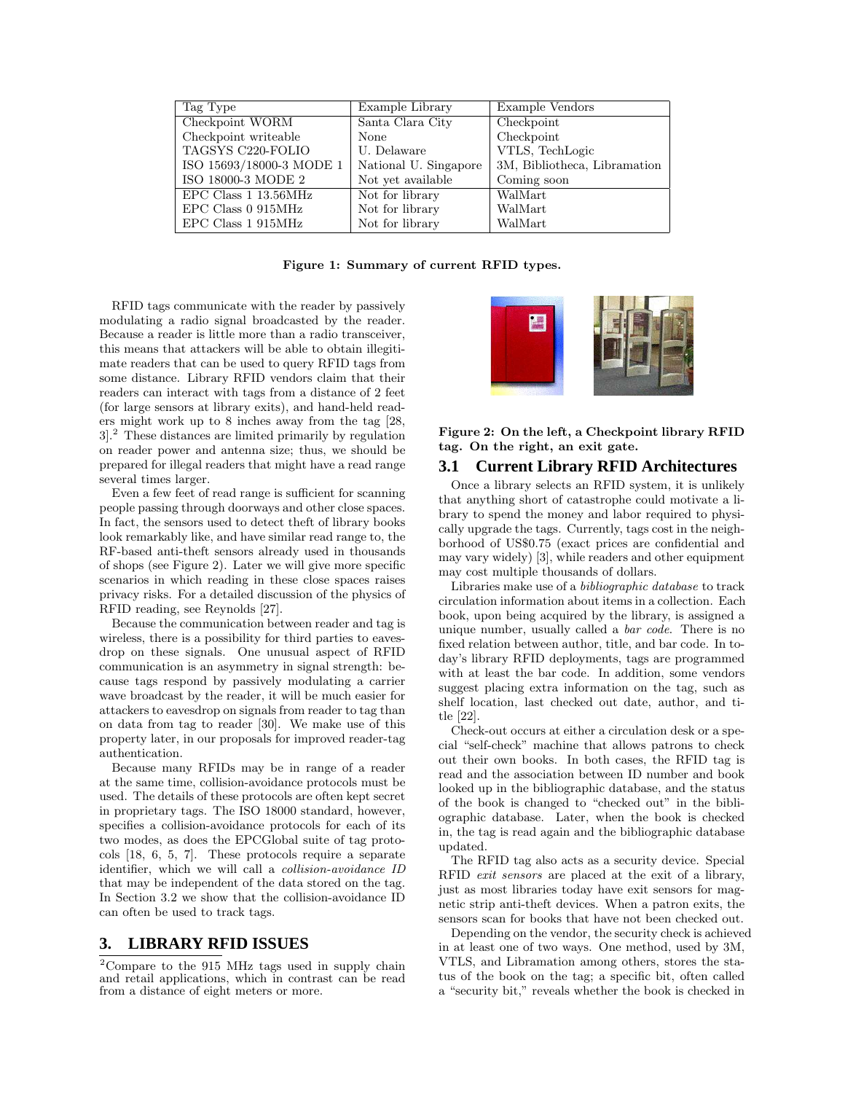| Tag Type                 | Example Library       | Example Vendors              |  |
|--------------------------|-----------------------|------------------------------|--|
| Checkpoint WORM          | Santa Clara City      | Checkpoint                   |  |
| Checkpoint writeable     | None                  | Checkpoint                   |  |
| TAGSYS C220-FOLIO        | U. Delaware           | VTLS, TechLogic              |  |
| ISO 15693/18000-3 MODE 1 | National U. Singapore | 3M, Bibliotheca, Libramation |  |
| ISO 18000-3 MODE 2       | Not yet available     | Coming soon                  |  |
| $EPC$ Class 1 13.56MHz   | Not for library       | WalMart                      |  |
| $EPC$ Class 0 915MHz     | Not for library       | WalMart                      |  |
| EPC Class 1 915MHz       | Not for library       | WalMart                      |  |
|                          |                       |                              |  |

Figure 1: Summary of current RFID types.

RFID tags communicate with the reader by passively modulating a radio signal broadcasted by the reader. Because a reader is little more than a radio transceiver, this means that attackers will be able to obtain illegitimate readers that can be used to query RFID tags from some distance. Library RFID vendors claim that their readers can interact with tags from a distance of 2 feet (for large sensors at library exits), and hand-held readers might work up to 8 inches away from the tag [28, 3].<sup>2</sup> These distances are limited primarily by regulation on reader power and antenna size; thus, we should be prepared for illegal readers that might have a read range several times larger.

Even a few feet of read range is sufficient for scanning people passing through doorways and other close spaces. In fact, the sensors used to detect theft of library books look remarkably like, and have similar read range to, the RF-based anti-theft sensors already used in thousands of shops (see Figure 2). Later we will give more specific scenarios in which reading in these close spaces raises privacy risks. For a detailed discussion of the physics of RFID reading, see Reynolds [27].

Because the communication between reader and tag is wireless, there is a possibility for third parties to eavesdrop on these signals. One unusual aspect of RFID communication is an asymmetry in signal strength: because tags respond by passively modulating a carrier wave broadcast by the reader, it will be much easier for attackers to eavesdrop on signals from reader to tag than on data from tag to reader [30]. We make use of this property later, in our proposals for improved reader-tag authentication.

Because many RFIDs may be in range of a reader at the same time, collision-avoidance protocols must be used. The details of these protocols are often kept secret in proprietary tags. The ISO 18000 standard, however, specifies a collision-avoidance protocols for each of its two modes, as does the EPCGlobal suite of tag protocols [18, 6, 5, 7]. These protocols require a separate identifier, which we will call a collision-avoidance ID that may be independent of the data stored on the tag. In Section 3.2 we show that the collision-avoidance ID can often be used to track tags.

# **3. LIBRARY RFID ISSUES**

<sup>2</sup>Compare to the 915 MHz tags used in supply chain and retail applications, which in contrast can be read from a distance of eight meters or more.



Figure 2: On the left, a Checkpoint library RFID tag. On the right, an exit gate.

# **3.1 Current Library RFID Architectures**

Once a library selects an RFID system, it is unlikely that anything short of catastrophe could motivate a library to spend the money and labor required to physically upgrade the tags. Currently, tags cost in the neighborhood of US\$0.75 (exact prices are confidential and may vary widely) [3], while readers and other equipment may cost multiple thousands of dollars.

Libraries make use of a bibliographic database to track circulation information about items in a collection. Each book, upon being acquired by the library, is assigned a unique number, usually called a bar code. There is no fixed relation between author, title, and bar code. In today's library RFID deployments, tags are programmed with at least the bar code. In addition, some vendors suggest placing extra information on the tag, such as shelf location, last checked out date, author, and title [22].

Check-out occurs at either a circulation desk or a special "self-check" machine that allows patrons to check out their own books. In both cases, the RFID tag is read and the association between ID number and book looked up in the bibliographic database, and the status of the book is changed to "checked out" in the bibliographic database. Later, when the book is checked in, the tag is read again and the bibliographic database updated.

The RFID tag also acts as a security device. Special RFID exit sensors are placed at the exit of a library, just as most libraries today have exit sensors for magnetic strip anti-theft devices. When a patron exits, the sensors scan for books that have not been checked out.

Depending on the vendor, the security check is achieved in at least one of two ways. One method, used by 3M, VTLS, and Libramation among others, stores the status of the book on the tag; a specific bit, often called a "security bit," reveals whether the book is checked in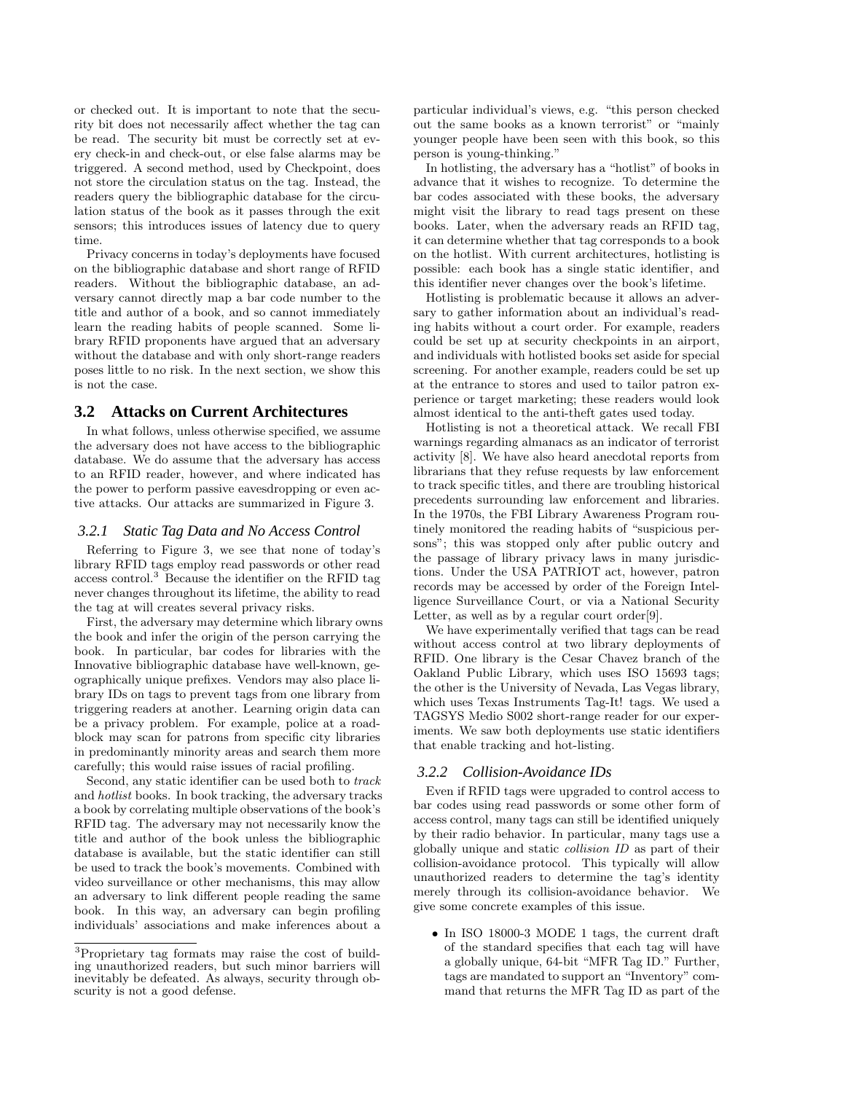or checked out. It is important to note that the security bit does not necessarily affect whether the tag can be read. The security bit must be correctly set at every check-in and check-out, or else false alarms may be triggered. A second method, used by Checkpoint, does not store the circulation status on the tag. Instead, the readers query the bibliographic database for the circulation status of the book as it passes through the exit sensors; this introduces issues of latency due to query time.

Privacy concerns in today's deployments have focused on the bibliographic database and short range of RFID readers. Without the bibliographic database, an adversary cannot directly map a bar code number to the title and author of a book, and so cannot immediately learn the reading habits of people scanned. Some library RFID proponents have argued that an adversary without the database and with only short-range readers poses little to no risk. In the next section, we show this is not the case.

#### **3.2 Attacks on Current Architectures**

In what follows, unless otherwise specified, we assume the adversary does not have access to the bibliographic database. We do assume that the adversary has access to an RFID reader, however, and where indicated has the power to perform passive eavesdropping or even active attacks. Our attacks are summarized in Figure 3.

#### *3.2.1 Static Tag Data and No Access Control*

Referring to Figure 3, we see that none of today's library RFID tags employ read passwords or other read access control.<sup>3</sup> Because the identifier on the RFID tag never changes throughout its lifetime, the ability to read the tag at will creates several privacy risks.

First, the adversary may determine which library owns the book and infer the origin of the person carrying the book. In particular, bar codes for libraries with the Innovative bibliographic database have well-known, geographically unique prefixes. Vendors may also place library IDs on tags to prevent tags from one library from triggering readers at another. Learning origin data can be a privacy problem. For example, police at a roadblock may scan for patrons from specific city libraries in predominantly minority areas and search them more carefully; this would raise issues of racial profiling.

Second, any static identifier can be used both to track and hotlist books. In book tracking, the adversary tracks a book by correlating multiple observations of the book's RFID tag. The adversary may not necessarily know the title and author of the book unless the bibliographic database is available, but the static identifier can still be used to track the book's movements. Combined with video surveillance or other mechanisms, this may allow an adversary to link different people reading the same book. In this way, an adversary can begin profiling individuals' associations and make inferences about a

particular individual's views, e.g. "this person checked out the same books as a known terrorist" or "mainly younger people have been seen with this book, so this person is young-thinking."

In hotlisting, the adversary has a "hotlist" of books in advance that it wishes to recognize. To determine the bar codes associated with these books, the adversary might visit the library to read tags present on these books. Later, when the adversary reads an RFID tag, it can determine whether that tag corresponds to a book on the hotlist. With current architectures, hotlisting is possible: each book has a single static identifier, and this identifier never changes over the book's lifetime.

Hotlisting is problematic because it allows an adversary to gather information about an individual's reading habits without a court order. For example, readers could be set up at security checkpoints in an airport, and individuals with hotlisted books set aside for special screening. For another example, readers could be set up at the entrance to stores and used to tailor patron experience or target marketing; these readers would look almost identical to the anti-theft gates used today.

Hotlisting is not a theoretical attack. We recall FBI warnings regarding almanacs as an indicator of terrorist activity [8]. We have also heard anecdotal reports from librarians that they refuse requests by law enforcement to track specific titles, and there are troubling historical precedents surrounding law enforcement and libraries. In the 1970s, the FBI Library Awareness Program routinely monitored the reading habits of "suspicious persons"; this was stopped only after public outcry and the passage of library privacy laws in many jurisdictions. Under the USA PATRIOT act, however, patron records may be accessed by order of the Foreign Intelligence Surveillance Court, or via a National Security Letter, as well as by a regular court order[9].

We have experimentally verified that tags can be read without access control at two library deployments of RFID. One library is the Cesar Chavez branch of the Oakland Public Library, which uses ISO 15693 tags; the other is the University of Nevada, Las Vegas library, which uses Texas Instruments Tag-It! tags. We used a TAGSYS Medio S002 short-range reader for our experiments. We saw both deployments use static identifiers that enable tracking and hot-listing.

#### *3.2.2 Collision-Avoidance IDs*

Even if RFID tags were upgraded to control access to bar codes using read passwords or some other form of access control, many tags can still be identified uniquely by their radio behavior. In particular, many tags use a globally unique and static collision ID as part of their collision-avoidance protocol. This typically will allow unauthorized readers to determine the tag's identity merely through its collision-avoidance behavior. We give some concrete examples of this issue.

• In ISO 18000-3 MODE 1 tags, the current draft of the standard specifies that each tag will have a globally unique, 64-bit "MFR Tag ID." Further, tags are mandated to support an "Inventory" command that returns the MFR Tag ID as part of the

<sup>3</sup>Proprietary tag formats may raise the cost of building unauthorized readers, but such minor barriers will inevitably be defeated. As always, security through obscurity is not a good defense.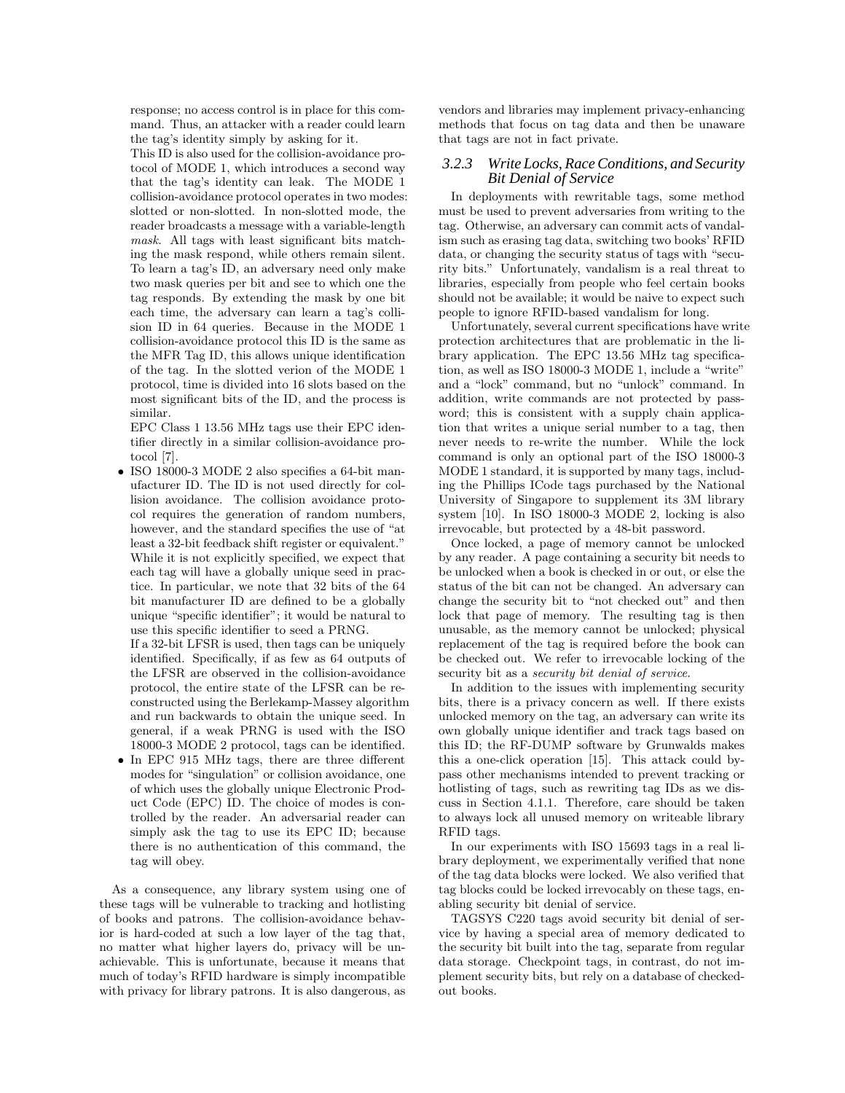response; no access control is in place for this command. Thus, an attacker with a reader could learn the tag's identity simply by asking for it.

This ID is also used for the collision-avoidance protocol of MODE 1, which introduces a second way that the tag's identity can leak. The MODE 1 collision-avoidance protocol operates in two modes: slotted or non-slotted. In non-slotted mode, the reader broadcasts a message with a variable-length mask. All tags with least significant bits matching the mask respond, while others remain silent. To learn a tag's ID, an adversary need only make two mask queries per bit and see to which one the tag responds. By extending the mask by one bit each time, the adversary can learn a tag's collision ID in 64 queries. Because in the MODE 1 collision-avoidance protocol this ID is the same as the MFR Tag ID, this allows unique identification of the tag. In the slotted verion of the MODE 1 protocol, time is divided into 16 slots based on the most significant bits of the ID, and the process is similar.

EPC Class 1 13.56 MHz tags use their EPC identifier directly in a similar collision-avoidance protocol [7].

• ISO 18000-3 MODE 2 also specifies a 64-bit manufacturer ID. The ID is not used directly for collision avoidance. The collision avoidance protocol requires the generation of random numbers, however, and the standard specifies the use of "at least a 32-bit feedback shift register or equivalent." While it is not explicitly specified, we expect that each tag will have a globally unique seed in practice. In particular, we note that 32 bits of the 64 bit manufacturer ID are defined to be a globally unique "specific identifier"; it would be natural to use this specific identifier to seed a PRNG.

If a 32-bit LFSR is used, then tags can be uniquely identified. Specifically, if as few as 64 outputs of the LFSR are observed in the collision-avoidance protocol, the entire state of the LFSR can be reconstructed using the Berlekamp-Massey algorithm and run backwards to obtain the unique seed. In general, if a weak PRNG is used with the ISO 18000-3 MODE 2 protocol, tags can be identified.

• In EPC 915 MHz tags, there are three different modes for "singulation" or collision avoidance, one of which uses the globally unique Electronic Product Code (EPC) ID. The choice of modes is controlled by the reader. An adversarial reader can simply ask the tag to use its EPC ID; because there is no authentication of this command, the tag will obey.

As a consequence, any library system using one of these tags will be vulnerable to tracking and hotlisting of books and patrons. The collision-avoidance behavior is hard-coded at such a low layer of the tag that, no matter what higher layers do, privacy will be unachievable. This is unfortunate, because it means that much of today's RFID hardware is simply incompatible with privacy for library patrons. It is also dangerous, as vendors and libraries may implement privacy-enhancing methods that focus on tag data and then be unaware that tags are not in fact private.

#### *3.2.3 Write Locks, RaceConditions, and Security Bit Denial of Service*

In deployments with rewritable tags, some method must be used to prevent adversaries from writing to the tag. Otherwise, an adversary can commit acts of vandalism such as erasing tag data, switching two books' RFID data, or changing the security status of tags with "security bits." Unfortunately, vandalism is a real threat to libraries, especially from people who feel certain books should not be available; it would be naive to expect such people to ignore RFID-based vandalism for long.

Unfortunately, several current specifications have write protection architectures that are problematic in the library application. The EPC 13.56 MHz tag specification, as well as ISO 18000-3 MODE 1, include a "write" and a "lock" command, but no "unlock" command. In addition, write commands are not protected by password; this is consistent with a supply chain application that writes a unique serial number to a tag, then never needs to re-write the number. While the lock command is only an optional part of the ISO 18000-3 MODE 1 standard, it is supported by many tags, including the Phillips ICode tags purchased by the National University of Singapore to supplement its 3M library system [10]. In ISO 18000-3 MODE 2, locking is also irrevocable, but protected by a 48-bit password.

Once locked, a page of memory cannot be unlocked by any reader. A page containing a security bit needs to be unlocked when a book is checked in or out, or else the status of the bit can not be changed. An adversary can change the security bit to "not checked out" and then lock that page of memory. The resulting tag is then unusable, as the memory cannot be unlocked; physical replacement of the tag is required before the book can be checked out. We refer to irrevocable locking of the security bit as a *security bit denial of service*.

In addition to the issues with implementing security bits, there is a privacy concern as well. If there exists unlocked memory on the tag, an adversary can write its own globally unique identifier and track tags based on this ID; the RF-DUMP software by Grunwalds makes this a one-click operation [15]. This attack could bypass other mechanisms intended to prevent tracking or hotlisting of tags, such as rewriting tag IDs as we discuss in Section 4.1.1. Therefore, care should be taken to always lock all unused memory on writeable library RFID tags.

In our experiments with ISO 15693 tags in a real library deployment, we experimentally verified that none of the tag data blocks were locked. We also verified that tag blocks could be locked irrevocably on these tags, enabling security bit denial of service.

TAGSYS C220 tags avoid security bit denial of service by having a special area of memory dedicated to the security bit built into the tag, separate from regular data storage. Checkpoint tags, in contrast, do not implement security bits, but rely on a database of checkedout books.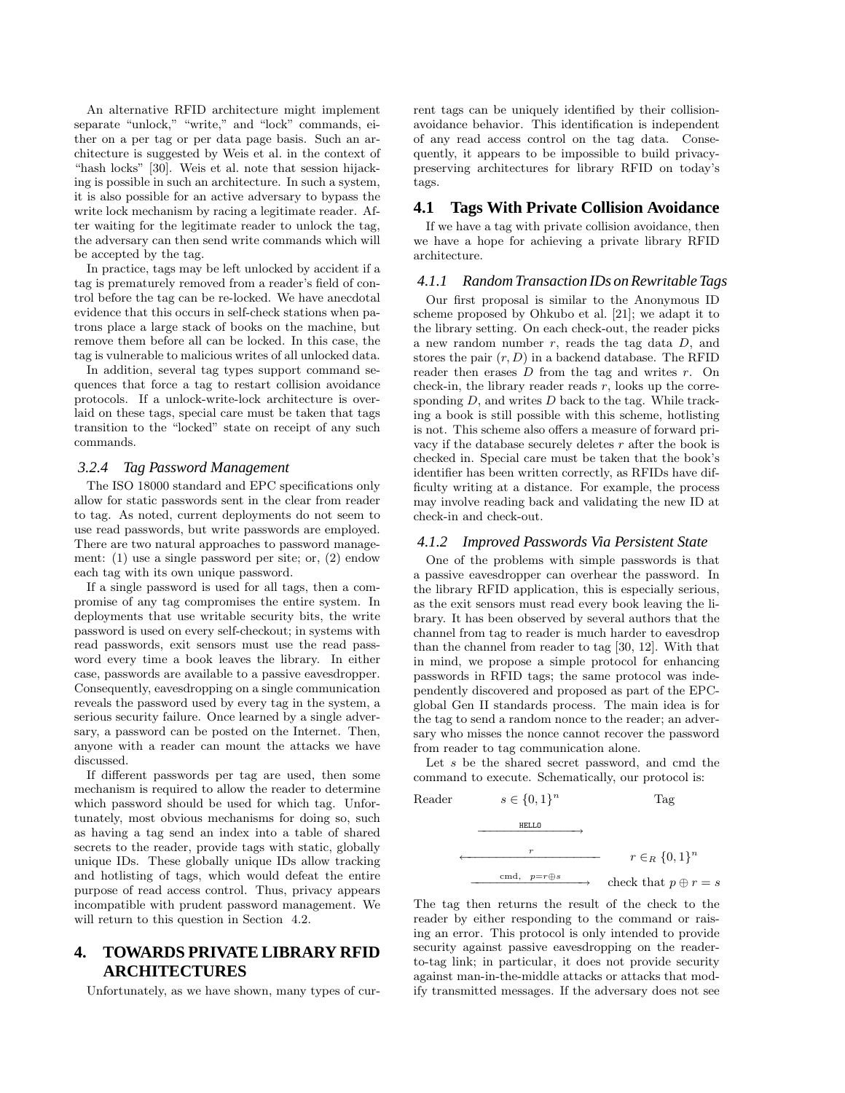An alternative RFID architecture might implement separate "unlock," "write," and "lock" commands, either on a per tag or per data page basis. Such an architecture is suggested by Weis et al. in the context of "hash locks" [30]. Weis et al. note that session hijacking is possible in such an architecture. In such a system, it is also possible for an active adversary to bypass the write lock mechanism by racing a legitimate reader. After waiting for the legitimate reader to unlock the tag, the adversary can then send write commands which will be accepted by the tag.

In practice, tags may be left unlocked by accident if a tag is prematurely removed from a reader's field of control before the tag can be re-locked. We have anecdotal evidence that this occurs in self-check stations when patrons place a large stack of books on the machine, but remove them before all can be locked. In this case, the tag is vulnerable to malicious writes of all unlocked data.

In addition, several tag types support command sequences that force a tag to restart collision avoidance protocols. If a unlock-write-lock architecture is overlaid on these tags, special care must be taken that tags transition to the "locked" state on receipt of any such commands.

#### *3.2.4 Tag Password Management*

The ISO 18000 standard and EPC specifications only allow for static passwords sent in the clear from reader to tag. As noted, current deployments do not seem to use read passwords, but write passwords are employed. There are two natural approaches to password management: (1) use a single password per site; or, (2) endow each tag with its own unique password.

If a single password is used for all tags, then a compromise of any tag compromises the entire system. In deployments that use writable security bits, the write password is used on every self-checkout; in systems with read passwords, exit sensors must use the read password every time a book leaves the library. In either case, passwords are available to a passive eavesdropper. Consequently, eavesdropping on a single communication reveals the password used by every tag in the system, a serious security failure. Once learned by a single adversary, a password can be posted on the Internet. Then, anyone with a reader can mount the attacks we have discussed.

If different passwords per tag are used, then some mechanism is required to allow the reader to determine which password should be used for which tag. Unfortunately, most obvious mechanisms for doing so, such as having a tag send an index into a table of shared secrets to the reader, provide tags with static, globally unique IDs. These globally unique IDs allow tracking and hotlisting of tags, which would defeat the entire purpose of read access control. Thus, privacy appears incompatible with prudent password management. We will return to this question in Section 4.2.

# **4. TOWARDS PRIVATE LIBRARY RFID ARCHITECTURES**

Unfortunately, as we have shown, many types of cur-

rent tags can be uniquely identified by their collisionavoidance behavior. This identification is independent of any read access control on the tag data. Consequently, it appears to be impossible to build privacypreserving architectures for library RFID on today's tags.

### **4.1 Tags With Private Collision Avoidance**

If we have a tag with private collision avoidance, then we have a hope for achieving a private library RFID architecture.

#### *4.1.1 Random Transaction IDs onRewritable Tags*

Our first proposal is similar to the Anonymous ID scheme proposed by Ohkubo et al. [21]; we adapt it to the library setting. On each check-out, the reader picks a new random number  $r$ , reads the tag data  $D$ , and stores the pair  $(r, D)$  in a backend database. The RFID reader then erases  $D$  from the tag and writes  $r$ . On check-in, the library reader reads  $r$ , looks up the corresponding  $D$ , and writes  $D$  back to the tag. While tracking a book is still possible with this scheme, hotlisting is not. This scheme also offers a measure of forward privacy if the database securely deletes  $r$  after the book is checked in. Special care must be taken that the book's identifier has been written correctly, as RFIDs have difficulty writing at a distance. For example, the process may involve reading back and validating the new ID at check-in and check-out.

#### *4.1.2 Improved Passwords Via Persistent State*

One of the problems with simple passwords is that a passive eavesdropper can overhear the password. In the library RFID application, this is especially serious, as the exit sensors must read every book leaving the library. It has been observed by several authors that the channel from tag to reader is much harder to eavesdrop than the channel from reader to tag [30, 12]. With that in mind, we propose a simple protocol for enhancing passwords in RFID tags; the same protocol was independently discovered and proposed as part of the EPCglobal Gen II standards process. The main idea is for the tag to send a random nonce to the reader; an adversary who misses the nonce cannot recover the password from reader to tag communication alone.

Let s be the shared secret password, and cmd the command to execute. Schematically, our protocol is:

$$
Reader \qquad s \in \{0, 1\}^n \qquad \qquad \text{Tag}
$$

$$
\begin{array}{c}\n \xrightarrow{\text{HELLO}} \\
\hline\n r \\
\xrightarrow{r} \\
\text{cmd, } p=r \oplus s \\
\text{check that } p \oplus r = s\n \end{array}
$$

The tag then returns the result of the check to the reader by either responding to the command or raising an error. This protocol is only intended to provide security against passive eavesdropping on the readerto-tag link; in particular, it does not provide security against man-in-the-middle attacks or attacks that modify transmitted messages. If the adversary does not see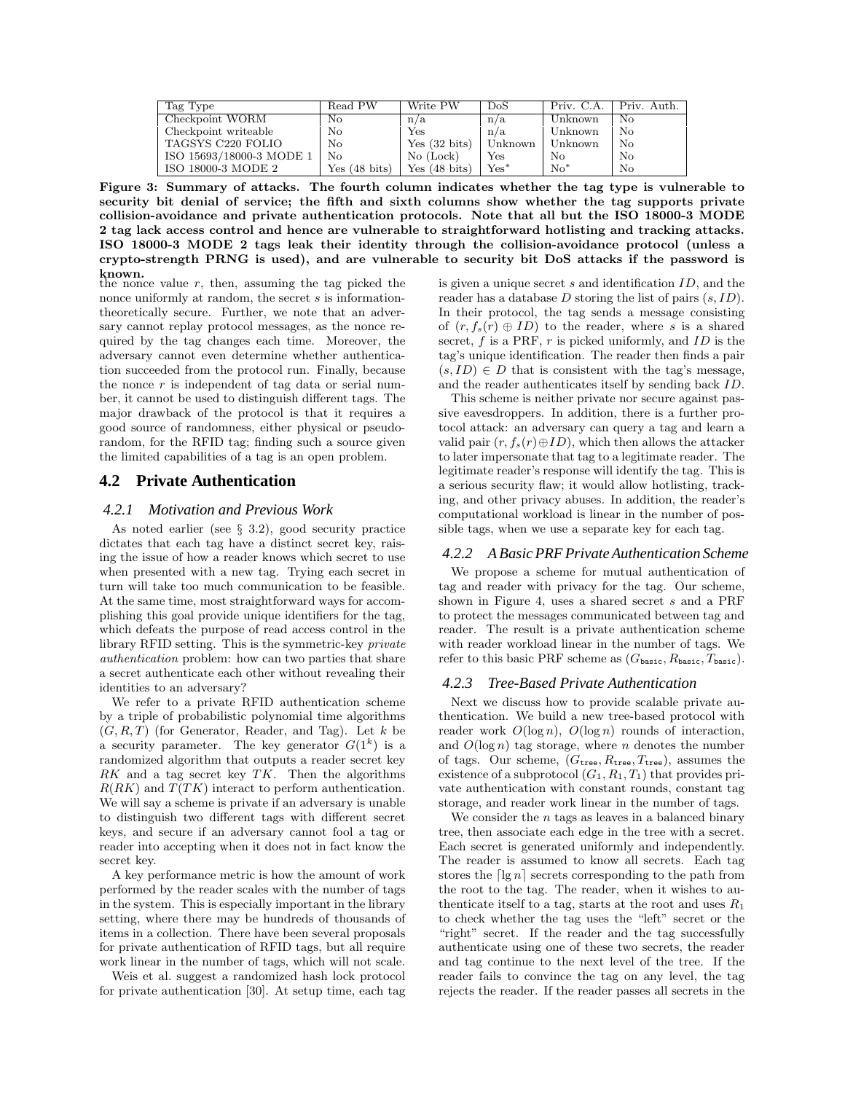| Tag Type                 | Read PW       | Write PW      | DoS     | Priv. C.A. | Priv. Auth. |
|--------------------------|---------------|---------------|---------|------------|-------------|
| Checkpoint WORM          | No            | n/a           | n/a     | Unknown    | No          |
| Checkpoint writeable     | No            | $_{\rm Yes}$  | n/a     | Unknown    | No          |
| TAGSYS C220 FOLIO        | No            | Yes (32 bits) | Unknown | Unknown    | No          |
| ISO 15693/18000-3 MODE 1 | No            | No (Lock)     | Yes     | No         | No          |
| ISO 18000-3 MODE 2       | Yes (48 bits) | Yes (48 bits) | $Yes*$  | $No*$      | No          |

Figure 3: Summary of attacks. The fourth column indicates whether the tag type is vulnerable to security bit denial of service; the fifth and sixth columns show whether the tag supports private collision-avoidance and private authentication protocols. Note that all but the ISO 18000-3 MODE 2 tag lack access control and hence are vulnerable to straightforward hotlisting and tracking attacks. ISO 18000-3 MODE 2 tags leak their identity through the collision-avoidance protocol (unless a crypto-strength PRNG is used), and are vulnerable to security bit DoS attacks if the password is known.

the nonce value  $r$ , then, assuming the tag picked the nonce uniformly at random, the secret s is informationtheoretically secure. Further, we note that an adversary cannot replay protocol messages, as the nonce required by the tag changes each time. Moreover, the adversary cannot even determine whether authentication succeeded from the protocol run. Finally, because the nonce  $r$  is independent of tag data or serial number, it cannot be used to distinguish different tags. The major drawback of the protocol is that it requires a good source of randomness, either physical or pseudorandom, for the RFID tag; finding such a source given the limited capabilities of a tag is an open problem.

# **4.2 Private Authentication**

#### *4.2.1 Motivation and Previous Work*

As noted earlier (see § 3.2), good security practice dictates that each tag have a distinct secret key, raising the issue of how a reader knows which secret to use when presented with a new tag. Trying each secret in turn will take too much communication to be feasible. At the same time, most straightforward ways for accomplishing this goal provide unique identifiers for the tag, which defeats the purpose of read access control in the library RFID setting. This is the symmetric-key private authentication problem: how can two parties that share a secret authenticate each other without revealing their identities to an adversary?

We refer to a private RFID authentication scheme by a triple of probabilistic polynomial time algorithms  $(G, R, T)$  (for Generator, Reader, and Tag). Let k be a security parameter. The key generator  $G(1^k)$  is a randomized algorithm that outputs a reader secret key  $RK$  and a tag secret key  $TK$ . Then the algorithms  $R(RK)$  and  $T(TK)$  interact to perform authentication. We will say a scheme is private if an adversary is unable to distinguish two different tags with different secret keys, and secure if an adversary cannot fool a tag or reader into accepting when it does not in fact know the secret key.

A key performance metric is how the amount of work performed by the reader scales with the number of tags in the system. This is especially important in the library setting, where there may be hundreds of thousands of items in a collection. There have been several proposals for private authentication of RFID tags, but all require work linear in the number of tags, which will not scale.

Weis et al. suggest a randomized hash lock protocol for private authentication [30]. At setup time, each tag is given a unique secret  $s$  and identification  $ID$ , and the reader has a database  $D$  storing the list of pairs  $(s, ID)$ . In their protocol, the tag sends a message consisting of  $(r, f_s(r) \oplus ID)$  to the reader, where s is a shared secret,  $f$  is a PRF,  $r$  is picked uniformly, and  $ID$  is the tag's unique identification. The reader then finds a pair  $(s, ID) \in D$  that is consistent with the tag's message, and the reader authenticates itself by sending back ID.

This scheme is neither private nor secure against passive eavesdroppers. In addition, there is a further protocol attack: an adversary can query a tag and learn a valid pair  $(r, f_s(r) \oplus ID)$ , which then allows the attacker to later impersonate that tag to a legitimate reader. The legitimate reader's response will identify the tag. This is a serious security flaw; it would allow hotlisting, tracking, and other privacy abuses. In addition, the reader's computational workload is linear in the number of possible tags, when we use a separate key for each tag.

#### *4.2.2 ABasicPRFPrivateAuthentication Scheme*

We propose a scheme for mutual authentication of tag and reader with privacy for the tag. Our scheme, shown in Figure 4, uses a shared secret s and a PRF to protect the messages communicated between tag and reader. The result is a private authentication scheme with reader workload linear in the number of tags. We refer to this basic PRF scheme as  $(G_{\text{basic}}, R_{\text{basic}}, T_{\text{basic}})$ .

#### *4.2.3 Tree-Based Private Authentication*

Next we discuss how to provide scalable private authentication. We build a new tree-based protocol with reader work  $O(\log n)$ ,  $O(\log n)$  rounds of interaction, and  $O(\log n)$  tag storage, where n denotes the number of tags. Our scheme,  $(G_{\text{tree}}, R_{\text{tree}}, T_{\text{tree}})$ , assumes the existence of a subprotocol  $(G_1, R_1, T_1)$  that provides private authentication with constant rounds, constant tag storage, and reader work linear in the number of tags.

We consider the  $n$  tags as leaves in a balanced binary tree, then associate each edge in the tree with a secret. Each secret is generated uniformly and independently. The reader is assumed to know all secrets. Each tag stores the  $\lceil \lg n \rceil$  secrets corresponding to the path from the root to the tag. The reader, when it wishes to authenticate itself to a tag, starts at the root and uses  $R_1$ to check whether the tag uses the "left" secret or the "right" secret. If the reader and the tag successfully authenticate using one of these two secrets, the reader and tag continue to the next level of the tree. If the reader fails to convince the tag on any level, the tag rejects the reader. If the reader passes all secrets in the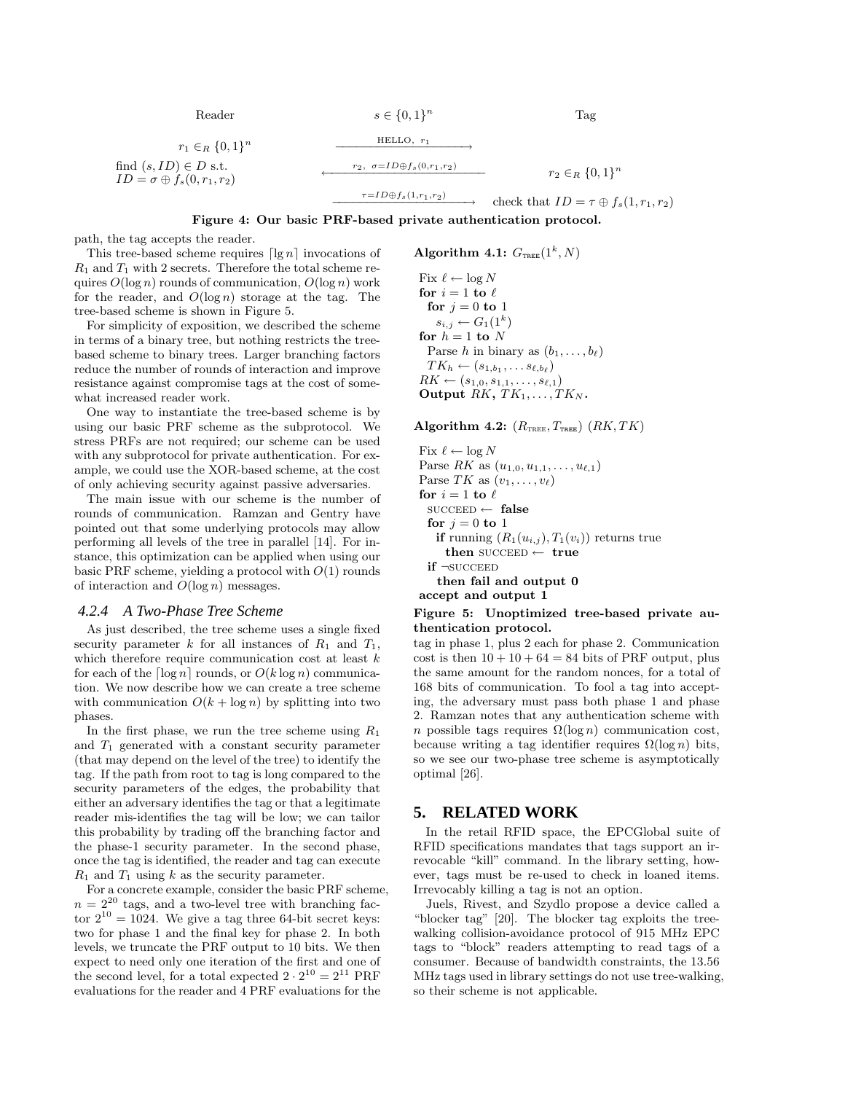\n 
$$
s \in \{0, 1\}^n
$$
 \n  $Tag$ \n

\n\n find\n  $(s, ID) \in D \text{ s.t.}$ \n

\n\n $ID = \sigma \oplus f_s(0, r_1, r_2)$ \n

\n\n The equation is:\n  $r_1 \leftarrow r_2, \quad \sigma = ID \oplus f_s(0, r_1, r_2)$ \n

\n\n The equation is:\n  $r_2 \leftarrow R \{0, 1\}^n$ \n

\n\n The equation is:\n  $r_1 \leftarrow r_2, \quad \sigma = ID \oplus f_s(0, r_1, r_2)$ \n

\n\n The equation is:\n  $r_2 \leftarrow R \{0, 1\}^n$ \n

\n\n The equation is:\n  $r_1 \leftarrow r_2, \quad \sigma = ID \oplus f_s(1, r_1, r_2)$ \n

\n\n The equation is:\n  $r_2 \leftarrow R \{0, 1\}^n$ \n

\n\n The equation is:\n  $r_1 \leftarrow r_2, \quad \sigma = ID \oplus f_s(1, r_1, r_2)$ \n

\n\n The equation is:\n  $r_2 \leftarrow R \{0, 1\}^n$ \n

\n\n The equation is:\n  $r_1 \leftarrow r_2, \quad \sigma = ID \oplus f_s(1, r_1, r_2)$ \n

check that  $ID = \tau \oplus f_s(1, r_1, r_2)$ 

#### Figure 4: Our basic PRF-based private authentication protocol.

path, the tag accepts the reader.

This tree-based scheme requires  $\lceil \lg n \rceil$  invocations of  $R_1$  and  $T_1$  with 2 secrets. Therefore the total scheme requires  $O(\log n)$  rounds of communication,  $O(\log n)$  work for the reader, and  $O(\log n)$  storage at the tag. The tree-based scheme is shown in Figure 5.

For simplicity of exposition, we described the scheme in terms of a binary tree, but nothing restricts the treebased scheme to binary trees. Larger branching factors reduce the number of rounds of interaction and improve resistance against compromise tags at the cost of somewhat increased reader work.

One way to instantiate the tree-based scheme is by using our basic PRF scheme as the subprotocol. We stress PRFs are not required; our scheme can be used with any subprotocol for private authentication. For example, we could use the XOR-based scheme, at the cost of only achieving security against passive adversaries.

The main issue with our scheme is the number of rounds of communication. Ramzan and Gentry have pointed out that some underlying protocols may allow performing all levels of the tree in parallel [14]. For instance, this optimization can be applied when using our basic PRF scheme, yielding a protocol with  $O(1)$  rounds of interaction and  $O(\log n)$  messages.

#### *4.2.4 A Two-Phase Tree Scheme*

As just described, the tree scheme uses a single fixed security parameter k for all instances of  $R_1$  and  $T_1$ , which therefore require communication cost at least  $k$ for each of the  $\lceil \log n \rceil$  rounds, or  $O(k \log n)$  communication. We now describe how we can create a tree scheme with communication  $O(k + \log n)$  by splitting into two phases.

In the first phase, we run the tree scheme using  $R_1$ and  $T_1$  generated with a constant security parameter (that may depend on the level of the tree) to identify the tag. If the path from root to tag is long compared to the security parameters of the edges, the probability that either an adversary identifies the tag or that a legitimate reader mis-identifies the tag will be low; we can tailor this probability by trading off the branching factor and the phase-1 security parameter. In the second phase, once the tag is identified, the reader and tag can execute  $R_1$  and  $T_1$  using k as the security parameter.

For a concrete example, consider the basic PRF scheme,  $n = 2^{20}$  tags, and a two-level tree with branching factor  $2^{10} = 1024$ . We give a tag three 64-bit secret keys: two for phase 1 and the final key for phase 2. In both levels, we truncate the PRF output to 10 bits. We then expect to need only one iteration of the first and one of the second level, for a total expected  $2 \cdot 2^{10} = 2^{11} \text{ PRF}$ evaluations for the reader and 4 PRF evaluations for the

Algorithm 4.1:  $G_{\texttt{TREE}}(1^k, N)$ 

Fix  $\ell \leftarrow \log N$ for  $i = 1$  to  $\ell$ for  $j = 0$  to 1  $s_{i,j} \leftarrow G_1(1^k)$ for  $h = 1$  to  $N$ Parse h in binary as  $(b_1, \ldots, b_\ell)$  $TK_h \leftarrow (s_{1,b_1}, \ldots s_{\ell,b_\ell})$  $RK \leftarrow (s_{1,0}, s_{1,1}, \ldots, s_{\ell,1})$ Output  $RK, TK_1, \ldots, TK_N$ .

Algorithm 4.2:  $(R_{\text{TREE}}, T_{\text{TREE}})$   $(RK, TK)$ 

Fix  $\ell \leftarrow \log N$ Parse RK as  $(u_{1,0}, u_{1,1}, \ldots, u_{\ell,1})$ Parse TK as  $(v_1, \ldots, v_\ell)$ for  $i = 1$  to  $\ell$  $\textsc{succ}$ ED ← false for  $j = 0$  to 1 if running  $(R_1(u_{i,j}), T_1(v_i))$  returns true then  $\textsc{success} \leftarrow \text{true}$ if ¬succeed then fail and output 0 accept and output 1

#### Figure 5: Unoptimized tree-based private authentication protocol.

tag in phase 1, plus 2 each for phase 2. Communication cost is then  $10 + 10 + 64 = 84$  bits of PRF output, plus the same amount for the random nonces, for a total of 168 bits of communication. To fool a tag into accepting, the adversary must pass both phase 1 and phase 2. Ramzan notes that any authentication scheme with n possible tags requires  $\Omega(\log n)$  communication cost, because writing a tag identifier requires  $\Omega(\log n)$  bits, so we see our two-phase tree scheme is asymptotically optimal [26].

## **5. RELATED WORK**

In the retail RFID space, the EPCGlobal suite of RFID specifications mandates that tags support an irrevocable "kill" command. In the library setting, however, tags must be re-used to check in loaned items. Irrevocably killing a tag is not an option.

Juels, Rivest, and Szydlo propose a device called a "blocker tag" [20]. The blocker tag exploits the treewalking collision-avoidance protocol of 915 MHz EPC tags to "block" readers attempting to read tags of a consumer. Because of bandwidth constraints, the 13.56 MHz tags used in library settings do not use tree-walking, so their scheme is not applicable.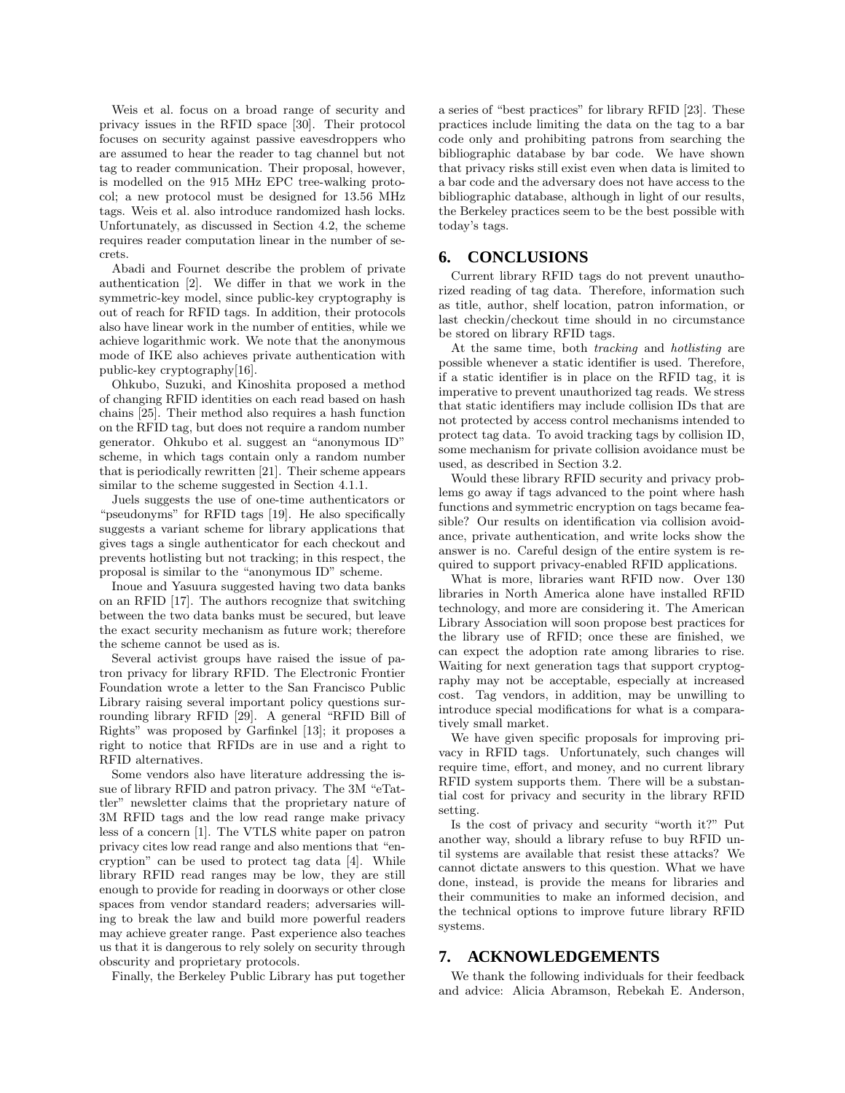Weis et al. focus on a broad range of security and privacy issues in the RFID space [30]. Their protocol focuses on security against passive eavesdroppers who are assumed to hear the reader to tag channel but not tag to reader communication. Their proposal, however, is modelled on the 915 MHz EPC tree-walking protocol; a new protocol must be designed for 13.56 MHz tags. Weis et al. also introduce randomized hash locks. Unfortunately, as discussed in Section 4.2, the scheme requires reader computation linear in the number of secrets.

Abadi and Fournet describe the problem of private authentication [2]. We differ in that we work in the symmetric-key model, since public-key cryptography is out of reach for RFID tags. In addition, their protocols also have linear work in the number of entities, while we achieve logarithmic work. We note that the anonymous mode of IKE also achieves private authentication with public-key cryptography[16].

Ohkubo, Suzuki, and Kinoshita proposed a method of changing RFID identities on each read based on hash chains [25]. Their method also requires a hash function on the RFID tag, but does not require a random number generator. Ohkubo et al. suggest an "anonymous ID" scheme, in which tags contain only a random number that is periodically rewritten [21]. Their scheme appears similar to the scheme suggested in Section 4.1.1.

Juels suggests the use of one-time authenticators or "pseudonyms" for RFID tags [19]. He also specifically suggests a variant scheme for library applications that gives tags a single authenticator for each checkout and prevents hotlisting but not tracking; in this respect, the proposal is similar to the "anonymous ID" scheme.

Inoue and Yasuura suggested having two data banks on an RFID [17]. The authors recognize that switching between the two data banks must be secured, but leave the exact security mechanism as future work; therefore the scheme cannot be used as is.

Several activist groups have raised the issue of patron privacy for library RFID. The Electronic Frontier Foundation wrote a letter to the San Francisco Public Library raising several important policy questions surrounding library RFID [29]. A general "RFID Bill of Rights" was proposed by Garfinkel [13]; it proposes a right to notice that RFIDs are in use and a right to RFID alternatives.

Some vendors also have literature addressing the issue of library RFID and patron privacy. The 3M "eTattler" newsletter claims that the proprietary nature of 3M RFID tags and the low read range make privacy less of a concern [1]. The VTLS white paper on patron privacy cites low read range and also mentions that "encryption" can be used to protect tag data [4]. While library RFID read ranges may be low, they are still enough to provide for reading in doorways or other close spaces from vendor standard readers; adversaries willing to break the law and build more powerful readers may achieve greater range. Past experience also teaches us that it is dangerous to rely solely on security through obscurity and proprietary protocols.

Finally, the Berkeley Public Library has put together

a series of "best practices" for library RFID [23]. These practices include limiting the data on the tag to a bar code only and prohibiting patrons from searching the bibliographic database by bar code. We have shown that privacy risks still exist even when data is limited to a bar code and the adversary does not have access to the bibliographic database, although in light of our results, the Berkeley practices seem to be the best possible with today's tags.

# **6. CONCLUSIONS**

Current library RFID tags do not prevent unauthorized reading of tag data. Therefore, information such as title, author, shelf location, patron information, or last checkin/checkout time should in no circumstance be stored on library RFID tags.

At the same time, both tracking and hotlisting are possible whenever a static identifier is used. Therefore, if a static identifier is in place on the RFID tag, it is imperative to prevent unauthorized tag reads. We stress that static identifiers may include collision IDs that are not protected by access control mechanisms intended to protect tag data. To avoid tracking tags by collision ID, some mechanism for private collision avoidance must be used, as described in Section 3.2.

Would these library RFID security and privacy problems go away if tags advanced to the point where hash functions and symmetric encryption on tags became feasible? Our results on identification via collision avoidance, private authentication, and write locks show the answer is no. Careful design of the entire system is required to support privacy-enabled RFID applications.

What is more, libraries want RFID now. Over 130 libraries in North America alone have installed RFID technology, and more are considering it. The American Library Association will soon propose best practices for the library use of RFID; once these are finished, we can expect the adoption rate among libraries to rise. Waiting for next generation tags that support cryptography may not be acceptable, especially at increased cost. Tag vendors, in addition, may be unwilling to introduce special modifications for what is a comparatively small market.

We have given specific proposals for improving privacy in RFID tags. Unfortunately, such changes will require time, effort, and money, and no current library RFID system supports them. There will be a substantial cost for privacy and security in the library RFID setting.

Is the cost of privacy and security "worth it?" Put another way, should a library refuse to buy RFID until systems are available that resist these attacks? We cannot dictate answers to this question. What we have done, instead, is provide the means for libraries and their communities to make an informed decision, and the technical options to improve future library RFID systems.

# **7. ACKNOWLEDGEMENTS**

We thank the following individuals for their feedback and advice: Alicia Abramson, Rebekah E. Anderson,